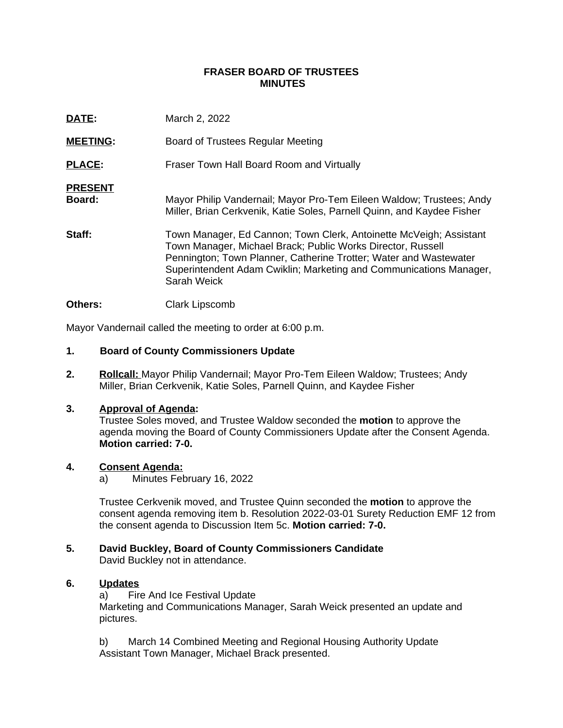### **FRASER BOARD OF TRUSTEES MINUTES**

| DATE:                    | March 2, 2022                                                                                                                                                                                                                                                                               |
|--------------------------|---------------------------------------------------------------------------------------------------------------------------------------------------------------------------------------------------------------------------------------------------------------------------------------------|
| <b>MEETING:</b>          | Board of Trustees Regular Meeting                                                                                                                                                                                                                                                           |
| <b>PLACE:</b>            | Fraser Town Hall Board Room and Virtually                                                                                                                                                                                                                                                   |
| <b>PRESENT</b><br>Board: | Mayor Philip Vandernail; Mayor Pro-Tem Eileen Waldow; Trustees; Andy<br>Miller, Brian Cerkvenik, Katie Soles, Parnell Quinn, and Kaydee Fisher                                                                                                                                              |
| Staff:                   | Town Manager, Ed Cannon; Town Clerk, Antoinette McVeigh; Assistant<br>Town Manager, Michael Brack; Public Works Director, Russell<br>Pennington; Town Planner, Catherine Trotter; Water and Wastewater<br>Superintendent Adam Cwiklin; Marketing and Communications Manager,<br>Sarah Weick |
|                          |                                                                                                                                                                                                                                                                                             |

### **Others:** Clark Lipscomb

Mayor Vandernail called the meeting to order at 6:00 p.m.

### **1. Board of County Commissioners Update**

**2. Rollcall:** Mayor Philip Vandernail; Mayor Pro-Tem Eileen Waldow; Trustees; Andy Miller, Brian Cerkvenik, Katie Soles, Parnell Quinn, and Kaydee Fisher

### **3. Approval of Agenda:**

Trustee Soles moved, and Trustee Waldow seconded the **motion** to approve the agenda moving the Board of County Commissioners Update after the Consent Agenda. **Motion carried: 7-0.**

### **4. Consent Agenda:**

a) Minutes February 16, 2022

Trustee Cerkvenik moved, and Trustee Quinn seconded the **motion** to approve the consent agenda removing item b. Resolution 2022-03-01 Surety Reduction EMF 12 from the consent agenda to Discussion Item 5c. **Motion carried: 7-0.**

# **5. David Buckley, Board of County Commissioners Candidate**

David Buckley not in attendance.

# **6. Updates**

a) Fire And Ice Festival Update Marketing and Communications Manager, Sarah Weick presented an update and pictures.

b) March 14 Combined Meeting and Regional Housing Authority Update Assistant Town Manager, Michael Brack presented.